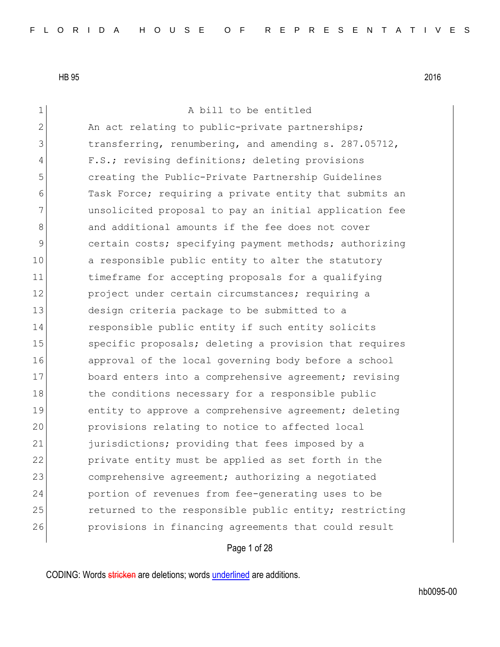1 a bill to be entitled  $2$  An act relating to public-private partnerships; 3 1 transferring, renumbering, and amending s. 287.05712, 4 F.S.; revising definitions; deleting provisions 5 creating the Public-Private Partnership Guidelines 6 Task Force; requiring a private entity that submits an 7 unsolicited proposal to pay an initial application fee 8 and additional amounts if the fee does not cover 9 certain costs; specifying payment methods; authorizing 10 a responsible public entity to alter the statutory 11 timeframe for accepting proposals for a qualifying 12 project under certain circumstances; requiring a 13 design criteria package to be submitted to a 14 responsible public entity if such entity solicits 15 Specific proposals; deleting a provision that requires 16 approval of the local governing body before a school 17 board enters into a comprehensive agreement; revising 18 the conditions necessary for a responsible public 19 entity to approve a comprehensive agreement; deleting 20 provisions relating to notice to affected local 21 furisdictions; providing that fees imposed by a 22 private entity must be applied as set forth in the 23 comprehensive agreement; authorizing a negotiated 24 portion of revenues from fee-generating uses to be 25 returned to the responsible public entity; restricting 26 provisions in financing agreements that could result

Page 1 of 28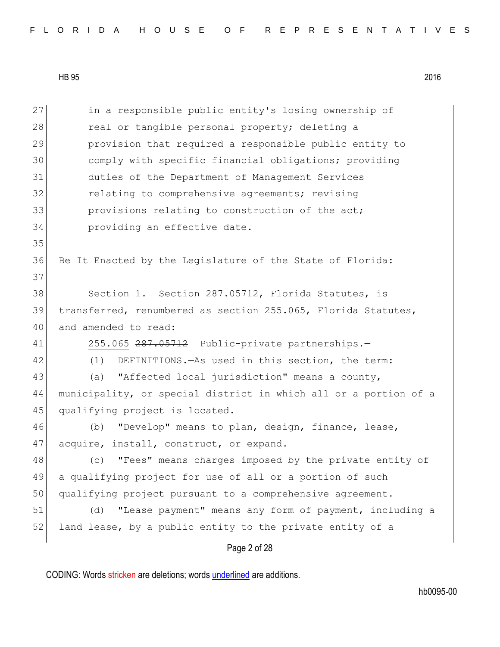|  |  |  |  |  |  |  |  | FLORIDA HOUSE OF REPRESENTATIVES |  |  |  |  |  |  |  |  |  |  |  |  |  |  |  |  |  |  |  |  |  |  |  |  |  |
|--|--|--|--|--|--|--|--|----------------------------------|--|--|--|--|--|--|--|--|--|--|--|--|--|--|--|--|--|--|--|--|--|--|--|--|--|
|--|--|--|--|--|--|--|--|----------------------------------|--|--|--|--|--|--|--|--|--|--|--|--|--|--|--|--|--|--|--|--|--|--|--|--|--|

Page 2 of 28 27 in a responsible public entity's losing ownership of 28 real or tangible personal property; deleting a 29 provision that required a responsible public entity to 30 comply with specific financial obligations; providing 31 duties of the Department of Management Services 32 **relating to comprehensive agreements;** revising 33 **provisions relating to construction of the act;** 34 **providing an effective date.** 35 36 Be It Enacted by the Legislature of the State of Florida: 37 38 Section 1. Section 287.05712, Florida Statutes, is 39 transferred, renumbered as section 255.065, Florida Statutes, 40 and amended to read: 41 255.065 287.05712 Public-private partnerships.-42 (1) DEFINITIONS.—As used in this section, the term: 43 (a) "Affected local jurisdiction" means a county, 44 municipality, or special district in which all or a portion of a 45 qualifying project is located. 46 (b) "Develop" means to plan, design, finance, lease, 47 acquire, install, construct, or expand. 48 (c) "Fees" means charges imposed by the private entity of 49 a qualifying project for use of all or a portion of such 50 qualifying project pursuant to a comprehensive agreement. 51 (d) "Lease payment" means any form of payment, including a 52 land lease, by a public entity to the private entity of a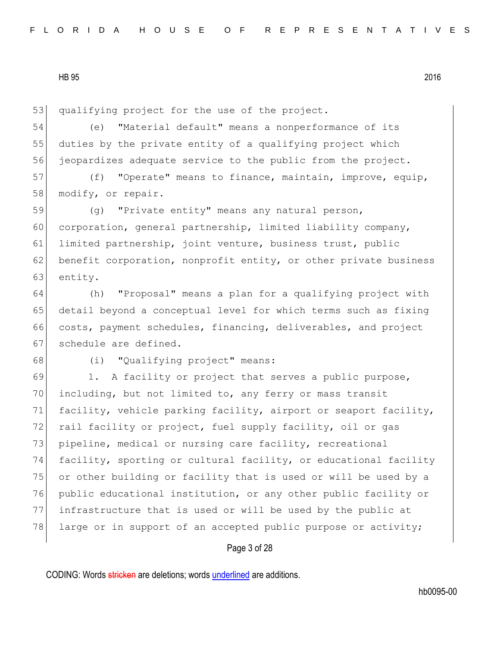53 qualifying project for the use of the project.

54 (e) "Material default" means a nonperformance of its 55 duties by the private entity of a qualifying project which 56 jeopardizes adequate service to the public from the project.

57 (f) "Operate" means to finance, maintain, improve, equip, 58 modify, or repair.

59 (g) "Private entity" means any natural person, 60 corporation, general partnership, limited liability company, 61 limited partnership, joint venture, business trust, public 62 benefit corporation, nonprofit entity, or other private business 63 entity.

 (h) "Proposal" means a plan for a qualifying project with detail beyond a conceptual level for which terms such as fixing costs, payment schedules, financing, deliverables, and project 67 schedule are defined.

68 (i) "Qualifying project" means:

69 1. A facility or project that serves a public purpose, 70 including, but not limited to, any ferry or mass transit 71 facility, vehicle parking facility, airport or seaport facility, 72 rail facility or project, fuel supply facility, oil or gas 73 pipeline, medical or nursing care facility, recreational 74 facility, sporting or cultural facility, or educational facility 75 or other building or facility that is used or will be used by a 76 public educational institution, or any other public facility or 77 infrastructure that is used or will be used by the public at 78 large or in support of an accepted public purpose or activity;

## Page 3 of 28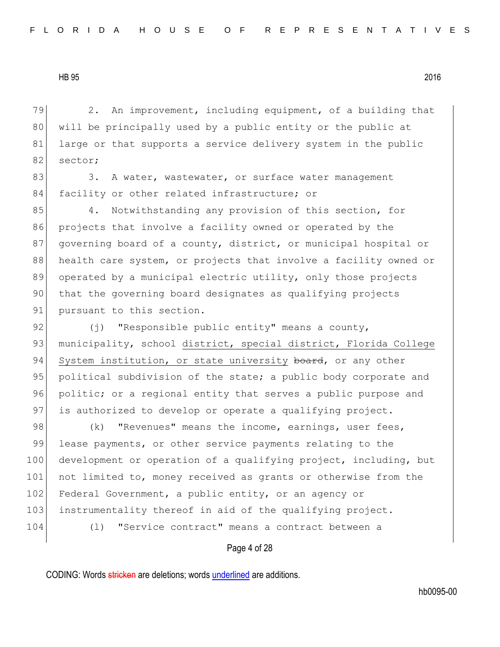79 2. An improvement, including equipment, of a building that 80 will be principally used by a public entity or the public at 81 large or that supports a service delivery system in the public 82 sector;

83 3. A water, wastewater, or surface water management 84 facility or other related infrastructure; or

85 4. Notwithstanding any provision of this section, for 86 projects that involve a facility owned or operated by the 87 governing board of a county, district, or municipal hospital or 88 health care system, or projects that involve a facility owned or 89 operated by a municipal electric utility, only those projects 90 that the governing board designates as qualifying projects 91 pursuant to this section.

92  $(j)$  "Responsible public entity" means a county, 93 municipality, school district, special district, Florida College 94 System institution, or state university board, or any other 95 political subdivision of the state; a public body corporate and 96 politic; or a regional entity that serves a public purpose and 97 is authorized to develop or operate a qualifying project.

98 (k) "Revenues" means the income, earnings, user fees, 99 lease payments, or other service payments relating to the 100 development or operation of a qualifying project, including, but 101 not limited to, money received as grants or otherwise from the 102 Federal Government, a public entity, or an agency or 103 instrumentality thereof in aid of the qualifying project. 104 (l) "Service contract" means a contract between a

Page 4 of 28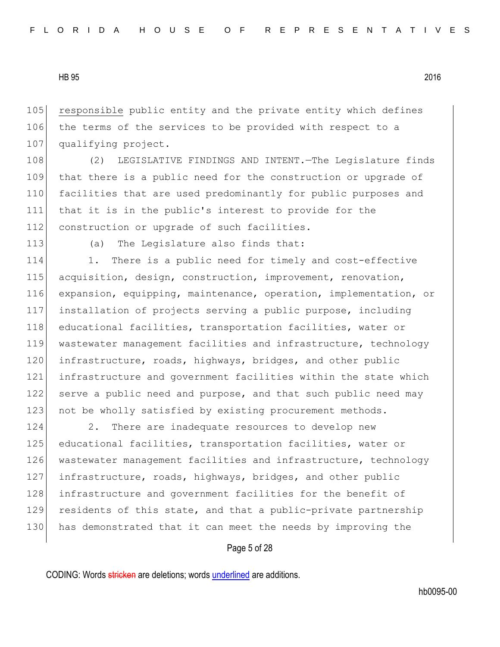105 responsible public entity and the private entity which defines 106 the terms of the services to be provided with respect to a 107 qualifying project.

108 (2) LEGISLATIVE FINDINGS AND INTENT. The Legislature finds 109 that there is a public need for the construction or upgrade of 110 facilities that are used predominantly for public purposes and 111 that it is in the public's interest to provide for the 112 construction or upgrade of such facilities.

113 (a) The Legislature also finds that:

114 1. There is a public need for timely and cost-effective 115 acquisition, design, construction, improvement, renovation, 116 expansion, equipping, maintenance, operation, implementation, or 117 installation of projects serving a public purpose, including 118 educational facilities, transportation facilities, water or 119 wastewater management facilities and infrastructure, technology 120 infrastructure, roads, highways, bridges, and other public 121 infrastructure and government facilities within the state which 122 serve a public need and purpose, and that such public need may 123 not be wholly satisfied by existing procurement methods.

124 2. There are inadequate resources to develop new 125 educational facilities, transportation facilities, water or 126 wastewater management facilities and infrastructure, technology 127 infrastructure, roads, highways, bridges, and other public 128 infrastructure and government facilities for the benefit of 129 residents of this state, and that a public-private partnership 130 has demonstrated that it can meet the needs by improving the

Page 5 of 28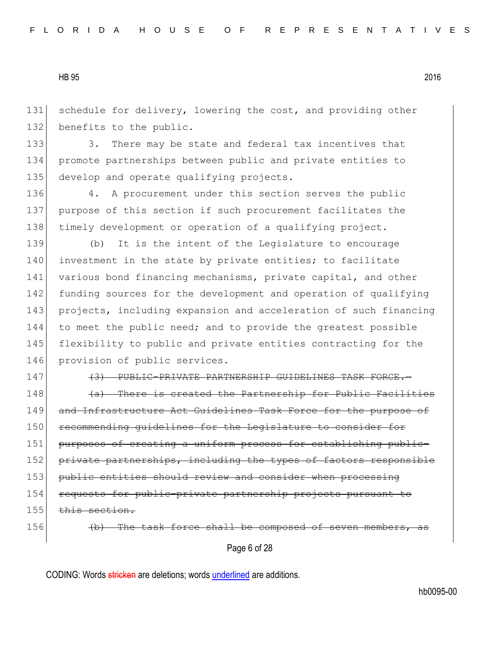131 schedule for delivery, lowering the cost, and providing other 132 benefits to the public.

133 3. There may be state and federal tax incentives that 134 promote partnerships between public and private entities to 135 develop and operate qualifying projects.

136 4. A procurement under this section serves the public 137 purpose of this section if such procurement facilitates the 138 timely development or operation of a qualifying project.

139 (b) It is the intent of the Legislature to encourage 140 investment in the state by private entities; to facilitate 141 various bond financing mechanisms, private capital, and other 142 funding sources for the development and operation of qualifying 143 projects, including expansion and acceleration of such financing 144 to meet the public need; and to provide the greatest possible 145 flexibility to public and private entities contracting for the 146 provision of public services.

147 (3) PUBLIC-PRIVATE PARTNERSHIP GUIDELINES TASK FORCE.

 $148$  (a) There is created the Partnership for Public Facilities 149 and Infrastructure Act Guidelines Task Force for the purpose of 150 recommending guidelines for the Legislature to consider for 151 purposes of creating a uniform process for establishing public-152 private partnerships, including the types of factors responsible 153 public entities should review and consider when processing 154 requests for public-private partnership projects pursuant to 155 this section.

 $156$  (b) The task force shall be composed of seven

Page 6 of 28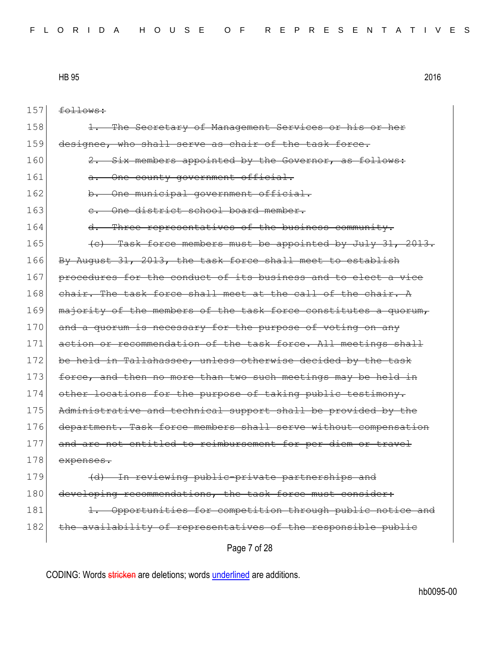157 follows:

| 158 | The Secretary of Management Services or his or her                |
|-----|-------------------------------------------------------------------|
| 159 | designee, who shall serve as chair of the task force.             |
| 160 | Six members appointed by the Governor, as follows:                |
| 161 | One county government official.<br><del>a.</del>                  |
| 162 | One municipal government official.<br>b.                          |
| 163 | One district school board member.                                 |
| 164 | Three representatives of the business community.<br><del>d.</del> |
| 165 | (c) Task force members must be appointed by July 31, 2013.        |
| 166 | By August 31, 2013, the task force shall meet to establish        |
| 167 | procedures for the conduct of its business and to elect a vice    |
| 168 | chair. The task force shall meet at the call of the chair. A      |
| 169 | majority of the members of the task force constitutes a quorum,   |
| 170 | and a quorum is necessary for the purpose of voting on any        |
| 171 | action or recommendation of the task force. All meetings shall    |
| 172 | be held in Tallahassee, unless otherwise decided by the task      |
| 173 | force, and then no more than two such meetings may be held in     |
| 174 | other locations for the purpose of taking public testimony.       |
| 175 | Administrative and technical support shall be provided by the     |
| 176 | department. Task force members shall serve without compensation   |
| 177 | and are not entitled to reimbursement for per diem or travel      |
| 178 | expenses.                                                         |
| 179 | (d) In reviewing public-private partnerships and                  |
| 180 | developing recommendations, the task force must consider:         |
| 181 | Opportunities for competition through public notice and           |
| 182 | the availability of representatives of the responsible public     |
|     | Page 7 of 28                                                      |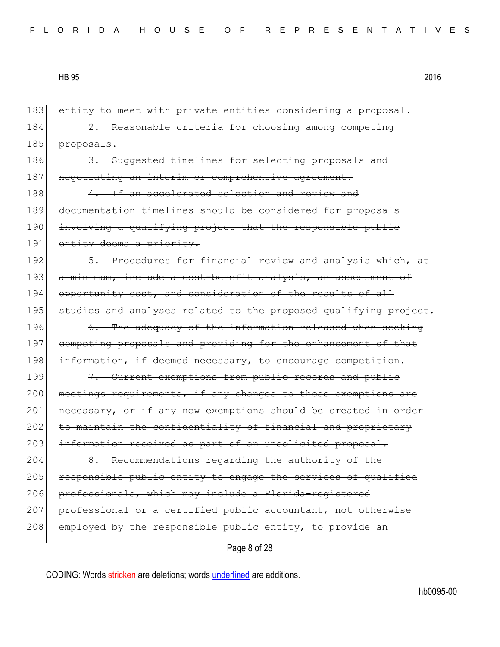Page 8 of 28 183 entity to meet with private entities considering a proposal. 184 2. Reasonable criteria for choosing among competing 185 proposals. 186 3. Suggested timelines for selecting proposals and 187 negotiating an interim or comprehensive agreement. 188 4. If an accelerated selection and review and 189 documentation timelines should be considered for proposals 190 involving a qualifying project that the responsible public 191 entity deems a priority. 192 5. Procedures for financial review and analysis which, at 193 a minimum, include a cost-benefit analysis, an assessment of 194 opportunity cost, and consideration of the results of all 195 studies and analyses related to the proposed qualifying project. 196 6. The adequacy of the information released when seeking 197 competing proposals and providing for the enhancement of that 198 information, if deemed necessary, to encourage competition. 199 7. Current exemptions from public records and public 200 meetings requirements, if any changes to those exemptions are 201 necessary, or if any new exemptions should be created in order 202 to maintain the confidentiality of financial and proprietary 203 information received as part of an unsolicited proposal. 204 8. Recommendations regarding the authority of the 205 responsible public entity to engage the services of qualified 206 professionals, which may include a Florida-registered 207 professional or a certified public accountant, not otherwise 208 employed by the responsible public entity, to provide an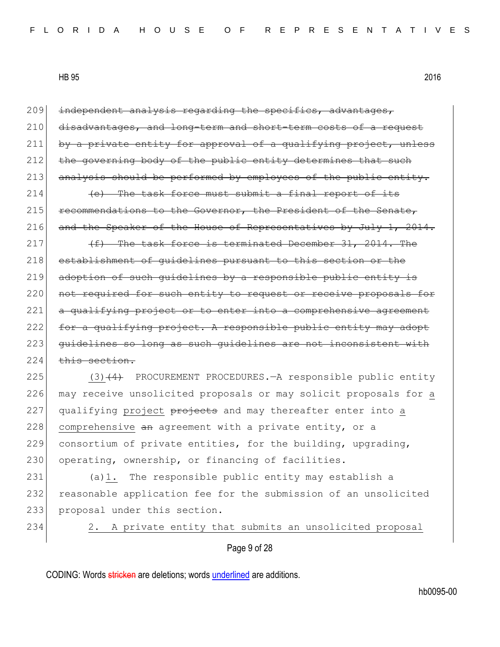209 independent analysis regarding the specifics, advantages, 210 disadvantages, and long-term and short-term costs of a request 211 by a private entity for approval of a qualifying project, unless 212 the governing body of the public entity determines that such 213 analysis should be performed by employees of the public entity.  $214$  (e) The task force must submit a final report of its  $215$  recommendations to the Governor, the President of the Senate, 216 and the Speaker of the House of Representatives by July 1, 2014. 217  $(f)$  The task force is terminated December 31, 2014. The 218 establishment of quidelines pursuant to this section or the 219 adoption of such guidelines by a responsible public entity is 220 not required for such entity to request or receive proposals for 221 a qualifying project or to enter into a comprehensive agreement 222 for a qualifying project. A responsible public entity may adopt 223 guidelines so long as such quidelines are not inconsistent with  $224$  this section. 225 (3)(4) PROCUREMENT PROCEDURES.—A responsible public entity 226 may receive unsolicited proposals or may solicit proposals for a  $227$  qualifying project  $\theta$  projects and may thereafter enter into a

229 consortium of private entities, for the building, upgrading, 230 operating, ownership, or financing of facilities.

228 comprehensive an agreement with a private entity, or a

231 (a)1. The responsible public entity may establish a 232 reasonable application fee for the submission of an unsolicited 233 proposal under this section.

234 2. A private entity that submits an unsolicited proposal

Page 9 of 28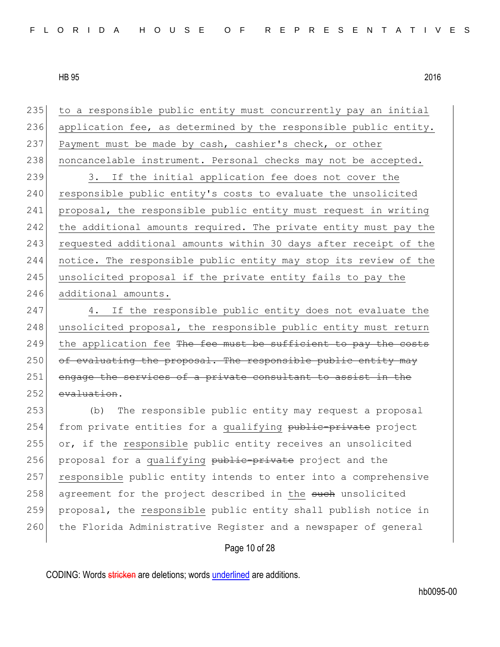| 235 | to a responsible public entity must concurrently pay an initial  |
|-----|------------------------------------------------------------------|
| 236 | application fee, as determined by the responsible public entity. |
| 237 | Payment must be made by cash, cashier's check, or other          |
| 238 | noncancelable instrument. Personal checks may not be accepted.   |
| 239 | If the initial application fee does not cover the<br>3.          |
| 240 | responsible public entity's costs to evaluate the unsolicited    |
| 241 | proposal, the responsible public entity must request in writing  |
| 242 | the additional amounts required. The private entity must pay the |
| 243 | requested additional amounts within 30 days after receipt of the |
| 244 | notice. The responsible public entity may stop its review of the |
| 245 | unsolicited proposal if the private entity fails to pay the      |
| 246 | additional amounts.                                              |
| 247 | If the responsible public entity does not evaluate the<br>4.     |
| 248 | unsolicited proposal, the responsible public entity must return  |
| 249 | the application fee The fee must be sufficient to pay the costs  |
| 250 | of evaluating the proposal. The responsible public entity may    |
| 251 | engage the services of a private consultant to assist in the     |
| 252 | evaluation.                                                      |
| 253 | The responsible public entity may request a proposal<br>(b)      |
| 254 | from private entities for a qualifying public-private project    |
| 255 | or, if the responsible public entity receives an unsolicited     |
| 256 | proposal for a qualifying public-private project and the         |
| 257 | responsible public entity intends to enter into a comprehensive  |
| 258 | agreement for the project described in the such unsolicited      |
| 259 | proposal, the responsible public entity shall publish notice in  |
| 260 | the Florida Administrative Register and a newspaper of general   |
|     | Page 10 of 28                                                    |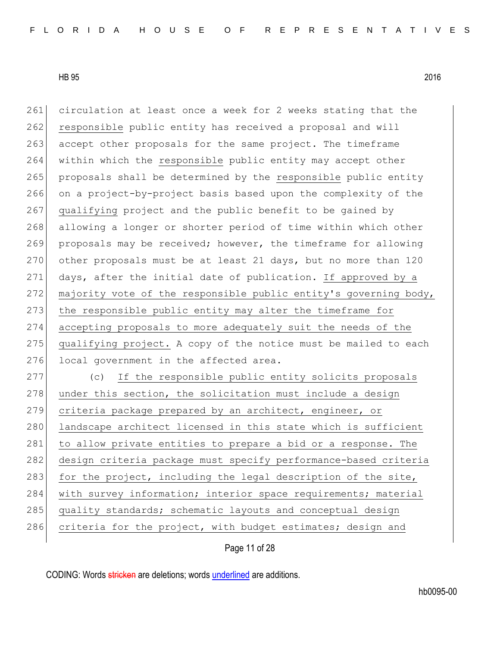261 circulation at least once a week for 2 weeks stating that the 262 responsible public entity has received a proposal and will 263 accept other proposals for the same project. The timeframe 264 within which the responsible public entity may accept other 265 proposals shall be determined by the responsible public entity 266 on a project-by-project basis based upon the complexity of the 267 qualifying project and the public benefit to be gained by 268 allowing a longer or shorter period of time within which other 269 proposals may be received; however, the timeframe for allowing 270 other proposals must be at least 21 days, but no more than 120 271 days, after the initial date of publication. If approved by a 272 majority vote of the responsible public entity's governing body, 273 the responsible public entity may alter the timeframe for 274 accepting proposals to more adequately suit the needs of the 275 qualifying project. A copy of the notice must be mailed to each 276 local government in the affected area. 277 (c) If the responsible public entity solicits proposals  $278$  under this section, the solicitation must include a design 279 criteria package prepared by an architect, engineer, or 280 landscape architect licensed in this state which is sufficient 281 to allow private entities to prepare a bid or a response. The 282 design criteria package must specify performance-based criteria

283 for the project, including the legal description of the site,

284 with survey information; interior space requirements; material

285 quality standards; schematic layouts and conceptual design

286 criteria for the project, with budget estimates; design and

Page 11 of 28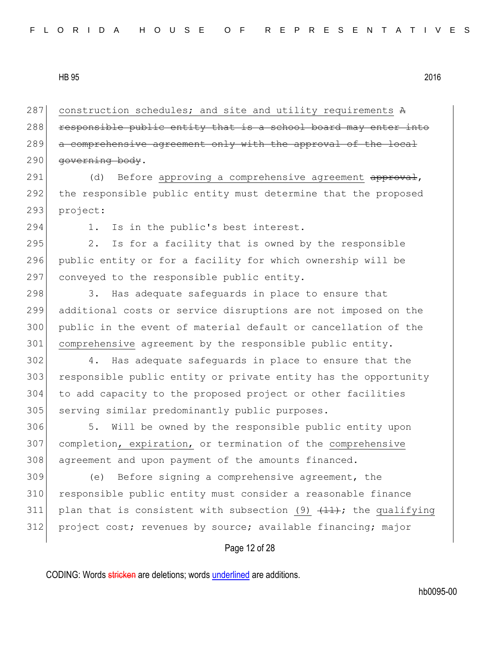287 construction schedules; and site and utility requirements A 288 responsible public entity that is a school board may enter into 289 a comprehensive agreement only with the approval of the local 290 governing body.

291 (d) Before approving a comprehensive agreement approval, 292 the responsible public entity must determine that the proposed 293 project:

294 1. Is in the public's best interest.

295 2. Is for a facility that is owned by the responsible 296 public entity or for a facility for which ownership will be 297 conveyed to the responsible public entity.

298 3. Has adequate safequards in place to ensure that 299 additional costs or service disruptions are not imposed on the 300 public in the event of material default or cancellation of the 301 comprehensive agreement by the responsible public entity.

302 4. Has adequate safeguards in place to ensure that the 303 responsible public entity or private entity has the opportunity 304 to add capacity to the proposed project or other facilities 305 serving similar predominantly public purposes.

306 5. Will be owned by the responsible public entity upon 307 completion, expiration, or termination of the comprehensive 308 agreement and upon payment of the amounts financed.

309 (e) Before signing a comprehensive agreement, the 310 responsible public entity must consider a reasonable finance 311 plan that is consistent with subsection (9)  $\{11\}$ ; the qualifying 312 project cost; revenues by source; available financing; major

## Page 12 of 28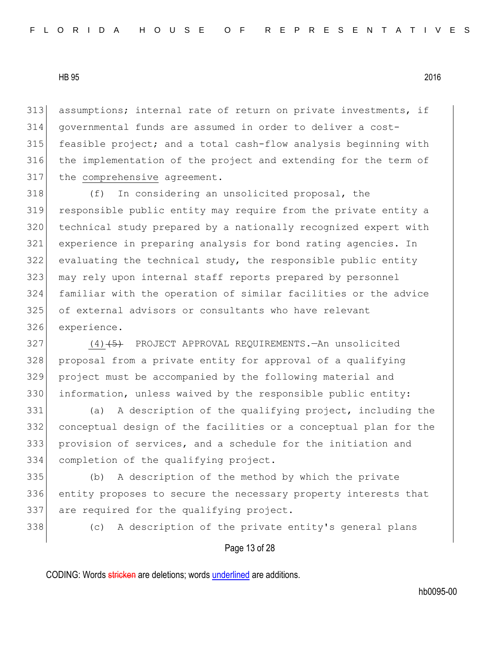assumptions; internal rate of return on private investments, if governmental funds are assumed in order to deliver a cost-315 feasible project; and a total cash-flow analysis beginning with the implementation of the project and extending for the term of 317 the comprehensive agreement.

 (f) In considering an unsolicited proposal, the responsible public entity may require from the private entity a technical study prepared by a nationally recognized expert with experience in preparing analysis for bond rating agencies. In evaluating the technical study, the responsible public entity 323 may rely upon internal staff reports prepared by personnel familiar with the operation of similar facilities or the advice of external advisors or consultants who have relevant experience.

327 (4)<del>(5)</del> PROJECT APPROVAL REQUIREMENTS.—An unsolicited 328 proposal from a private entity for approval of a qualifying project must be accompanied by the following material and information, unless waived by the responsible public entity:

 (a) A description of the qualifying project, including the conceptual design of the facilities or a conceptual plan for the provision of services, and a schedule for the initiation and completion of the qualifying project.

 (b) A description of the method by which the private 336 entity proposes to secure the necessary property interests that 337 are required for the qualifying project.

(c) A description of the private entity's general plans

# Page 13 of 28

CODING: Words stricken are deletions; words underlined are additions.

hb0095-00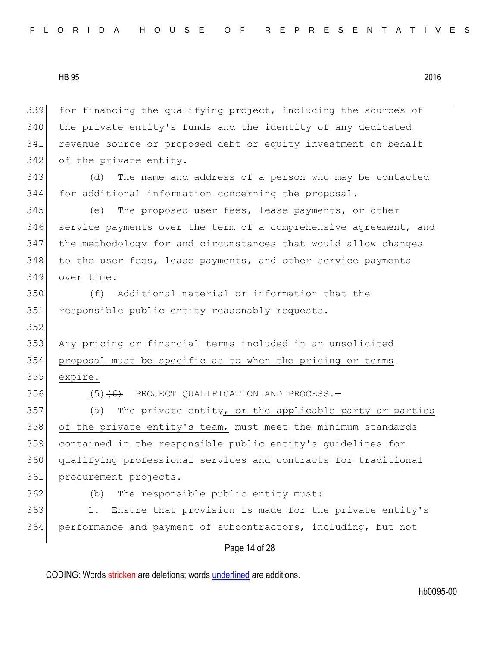Page 14 of 28 339 for financing the qualifying project, including the sources of 340 the private entity's funds and the identity of any dedicated 341 revenue source or proposed debt or equity investment on behalf 342 of the private entity. 343 (d) The name and address of a person who may be contacted 344 for additional information concerning the proposal. 345 (e) The proposed user fees, lease payments, or other 346 service payments over the term of a comprehensive agreement, and 347 the methodology for and circumstances that would allow changes 348 to the user fees, lease payments, and other service payments 349 over time. 350 (f) Additional material or information that the 351 responsible public entity reasonably requests. 352 353 Any pricing or financial terms included in an unsolicited 354 proposal must be specific as to when the pricing or terms 355 expire. 356  $(5)$   $(6)$  PROJECT QUALIFICATION AND PROCESS. 357 (a) The private entity, or the applicable party or parties 358 of the private entity's team, must meet the minimum standards 359 contained in the responsible public entity's guidelines for 360 qualifying professional services and contracts for traditional 361 procurement projects. 362 (b) The responsible public entity must: 363 1. Ensure that provision is made for the private entity's 364 performance and payment of subcontractors, including, but not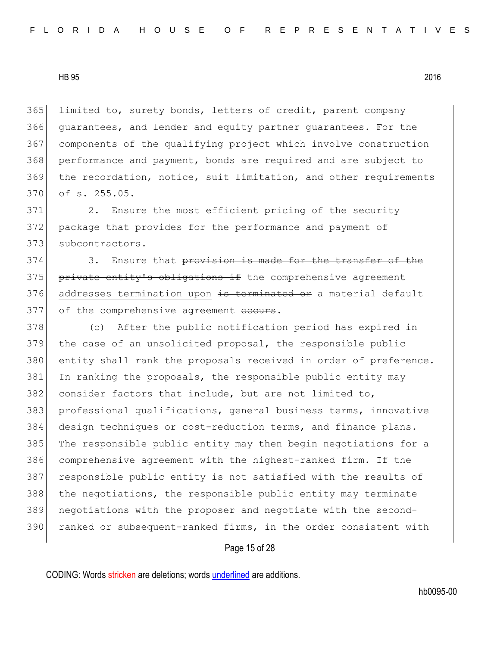limited to, surety bonds, letters of credit, parent company guarantees, and lender and equity partner guarantees. For the components of the qualifying project which involve construction performance and payment, bonds are required and are subject to the recordation, notice, suit limitation, and other requirements of s. 255.05.

371 2. Ensure the most efficient pricing of the security 372 package that provides for the performance and payment of 373 subcontractors.

374 3. Ensure that provision is made for the transfer of the 375 private entity's obligations if the comprehensive agreement 376 addresses termination upon is terminated or a material default 377 of the comprehensive agreement occurs.

378 (c) After the public notification period has expired in 379 the case of an unsolicited proposal, the responsible public 380 entity shall rank the proposals received in order of preference. 381 In ranking the proposals, the responsible public entity may 382 consider factors that include, but are not limited to, 383 professional qualifications, general business terms, innovative 384 design techniques or cost-reduction terms, and finance plans. 385 The responsible public entity may then begin negotiations for a 386 comprehensive agreement with the highest-ranked firm. If the 387 responsible public entity is not satisfied with the results of 388 the negotiations, the responsible public entity may terminate 389 negotiations with the proposer and negotiate with the second-390 ranked or subsequent-ranked firms, in the order consistent with

# Page 15 of 28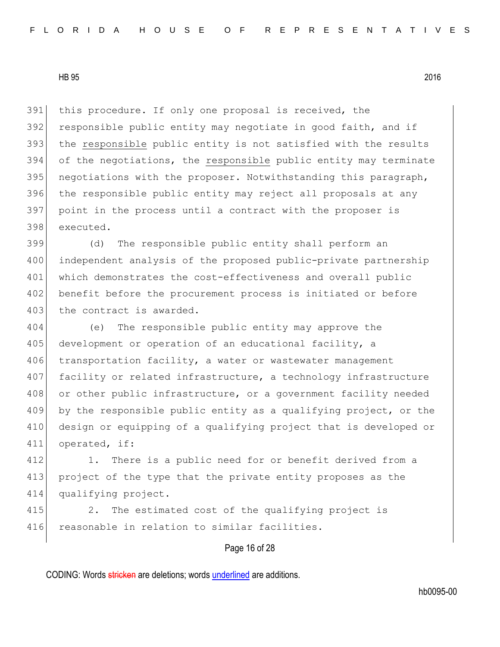this procedure. If only one proposal is received, the 392 responsible public entity may negotiate in good faith, and if 393 the responsible public entity is not satisfied with the results of the negotiations, the responsible public entity may terminate 395 negotiations with the proposer. Notwithstanding this paragraph, the responsible public entity may reject all proposals at any point in the process until a contract with the proposer is executed.

399 (d) The responsible public entity shall perform an 400 independent analysis of the proposed public-private partnership 401 which demonstrates the cost-effectiveness and overall public 402 benefit before the procurement process is initiated or before 403 the contract is awarded.

404 (e) The responsible public entity may approve the 405 development or operation of an educational facility, a 406 transportation facility, a water or wastewater management 407 facility or related infrastructure, a technology infrastructure 408 or other public infrastructure, or a government facility needed 409 by the responsible public entity as a qualifying project, or the 410 design or equipping of a qualifying project that is developed or 411 operated, if:

412 1. There is a public need for or benefit derived from a 413 project of the type that the private entity proposes as the 414 qualifying project.

415 2. The estimated cost of the qualifying project is 416 reasonable in relation to similar facilities.

# Page 16 of 28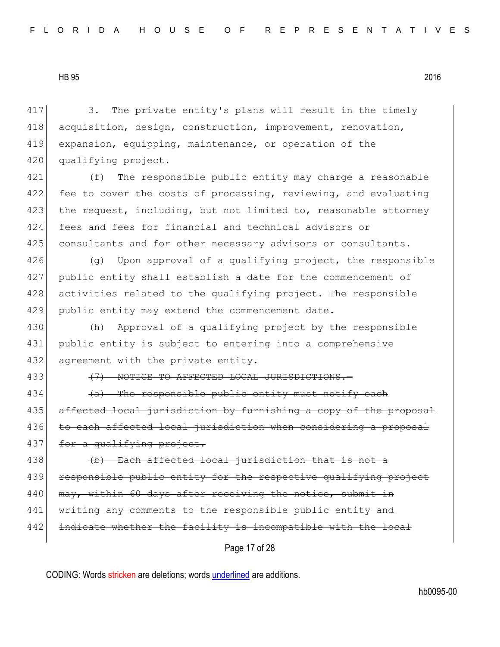417 3. The private entity's plans will result in the timely 418 acquisition, design, construction, improvement, renovation, 419 expansion, equipping, maintenance, or operation of the 420 qualifying project.

421 (f) The responsible public entity may charge a reasonable 422 fee to cover the costs of processing, reviewing, and evaluating 423 the request, including, but not limited to, reasonable attorney 424 fees and fees for financial and technical advisors or 425 consultants and for other necessary advisors or consultants.

 $(q)$  Upon approval of a qualifying project, the responsible public entity shall establish a date for the commencement of 428 activities related to the qualifying project. The responsible public entity may extend the commencement date.

430 (h) Approval of a qualifying project by the responsible 431 public entity is subject to entering into a comprehensive 432 agreement with the private entity.

433 (7) NOTICE TO AFFECTED LOCAL JURISDICTIONS.

434  $\left( a\right)$  The responsible public entity must notify each 435 affected local jurisdiction by furnishing a copy of the proposal 436 to each affected local jurisdiction when considering a proposal 437 for a qualifying project.

438 (d) Each affected local jurisdiction that is not a 439 responsible public entity for the respective qualifying project 440 may, within 60 days after receiving the notice, submit in 441 writing any comments to the responsible public entity and 442 indicate whether the facility is incompatible with the local

Page 17 of 28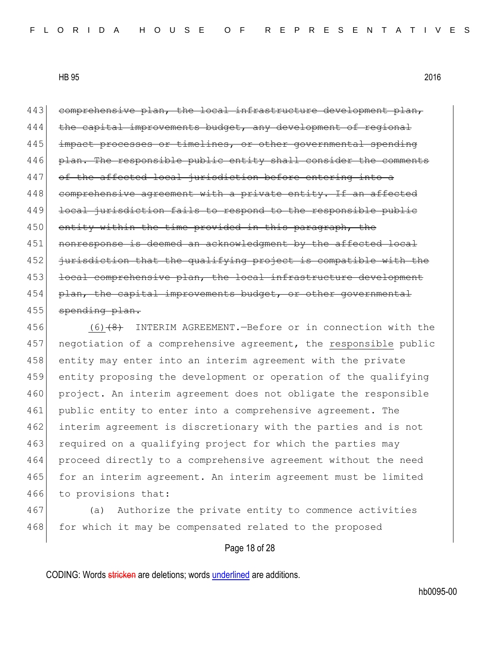443 comprehensive plan, the local infrastructure development plan, 444 the capital improvements budget, any development of regional 445 impact processes or timelines, or other governmental spending 446 plan. The responsible public entity shall consider the comments 447 of the affected local jurisdiction before entering into a 448 comprehensive agreement with a private entity. If an affected 449 local jurisdiction fails to respond to the responsible public 450 entity within the time provided in this paragraph, the 451 nonresponse is deemed an acknowledgment by the affected local 452 jurisdiction that the qualifying project is compatible with the 453 local comprehensive plan, the local infrastructure development 454 plan, the capital improvements budget, or other governmental 455 spending plan.

456 (6)<del>(8)</del> INTERIM AGREEMENT.—Before or in connection with the 457 negotiation of a comprehensive agreement, the responsible public 458 entity may enter into an interim agreement with the private 459 entity proposing the development or operation of the qualifying 460 project. An interim agreement does not obligate the responsible 461 public entity to enter into a comprehensive agreement. The 462 interim agreement is discretionary with the parties and is not 463 required on a qualifying project for which the parties may 464 proceed directly to a comprehensive agreement without the need 465 for an interim agreement. An interim agreement must be limited 466 to provisions that:

467 (a) Authorize the private entity to commence activities 468 for which it may be compensated related to the proposed

#### Page 18 of 28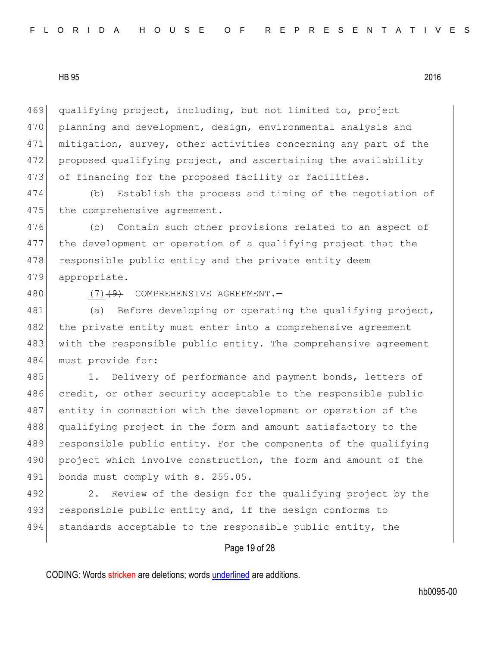469 qualifying project, including, but not limited to, project 470 planning and development, design, environmental analysis and 471 mitigation, survey, other activities concerning any part of the 472 proposed qualifying project, and ascertaining the availability 473 of financing for the proposed facility or facilities.

474 (b) Establish the process and timing of the negotiation of 475 the comprehensive agreement.

476 (c) Contain such other provisions related to an aspect of 477 the development or operation of a qualifying project that the 478 responsible public entity and the private entity deem 479 appropriate.

480 (7)<del>(9)</del> COMPREHENSIVE AGREEMENT.

481 (a) Before developing or operating the qualifying project, 482 the private entity must enter into a comprehensive agreement 483 with the responsible public entity. The comprehensive agreement 484 must provide for:

485 1. Delivery of performance and payment bonds, letters of 486 credit, or other security acceptable to the responsible public 487 entity in connection with the development or operation of the 488 qualifying project in the form and amount satisfactory to the 489 responsible public entity. For the components of the qualifying 490 project which involve construction, the form and amount of the 491 bonds must comply with s. 255.05.

492 2. Review of the design for the qualifying project by the 493 responsible public entity and, if the design conforms to 494 standards acceptable to the responsible public entity, the

# Page 19 of 28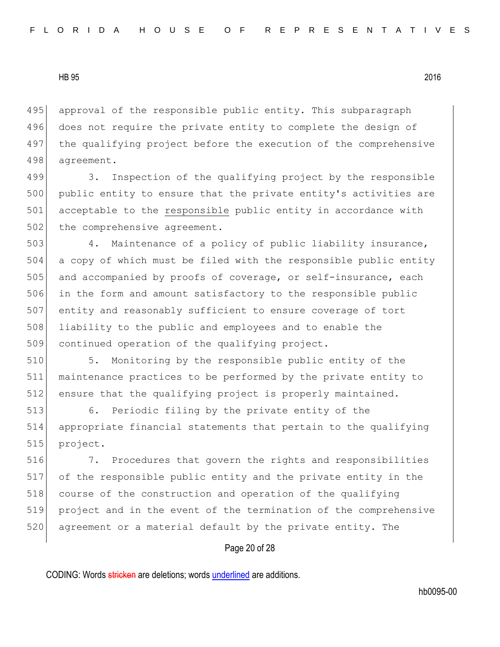495 approval of the responsible public entity. This subparagraph 496 does not require the private entity to complete the design of 497 the qualifying project before the execution of the comprehensive 498 agreement.

499 3. Inspection of the qualifying project by the responsible 500 public entity to ensure that the private entity's activities are 501 acceptable to the responsible public entity in accordance with 502 the comprehensive agreement.

 4. Maintenance of a policy of public liability insurance, a copy of which must be filed with the responsible public entity 505 and accompanied by proofs of coverage, or self-insurance, each in the form and amount satisfactory to the responsible public entity and reasonably sufficient to ensure coverage of tort liability to the public and employees and to enable the 509 continued operation of the qualifying project.

510 5. Monitoring by the responsible public entity of the 511 maintenance practices to be performed by the private entity to 512 ensure that the qualifying project is properly maintained.

513 6. Periodic filing by the private entity of the 514 appropriate financial statements that pertain to the qualifying 515 project.

516 7. Procedures that govern the rights and responsibilities 517 of the responsible public entity and the private entity in the 518 course of the construction and operation of the qualifying 519 project and in the event of the termination of the comprehensive 520 agreement or a material default by the private entity. The

# Page 20 of 28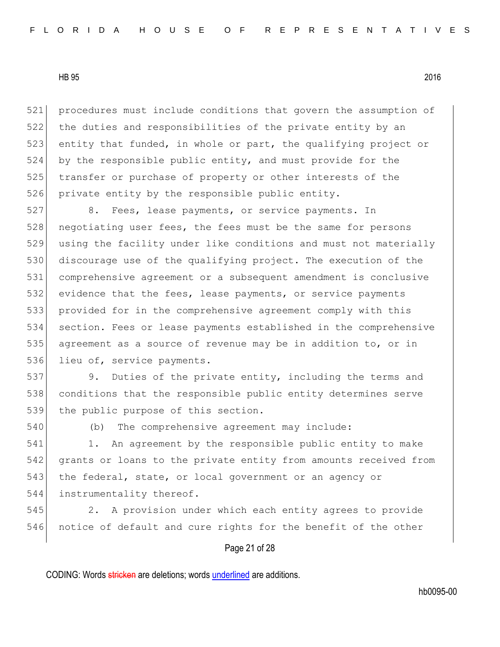procedures must include conditions that govern the assumption of the duties and responsibilities of the private entity by an 523 entity that funded, in whole or part, the qualifying project or by the responsible public entity, and must provide for the 525 transfer or purchase of property or other interests of the private entity by the responsible public entity.

 8. Fees, lease payments, or service payments. In 528 negotiating user fees, the fees must be the same for persons using the facility under like conditions and must not materially 530 discourage use of the qualifying project. The execution of the comprehensive agreement or a subsequent amendment is conclusive evidence that the fees, lease payments, or service payments provided for in the comprehensive agreement comply with this section. Fees or lease payments established in the comprehensive agreement as a source of revenue may be in addition to, or in 536 lieu of, service payments.

537 9. Duties of the private entity, including the terms and 538 conditions that the responsible public entity determines serve 539 the public purpose of this section.

540 (b) The comprehensive agreement may include:

541 1. An agreement by the responsible public entity to make 542 grants or loans to the private entity from amounts received from 543 the federal, state, or local government or an agency or 544 instrumentality thereof.

545 2. A provision under which each entity agrees to provide 546 notice of default and cure rights for the benefit of the other

## Page 21 of 28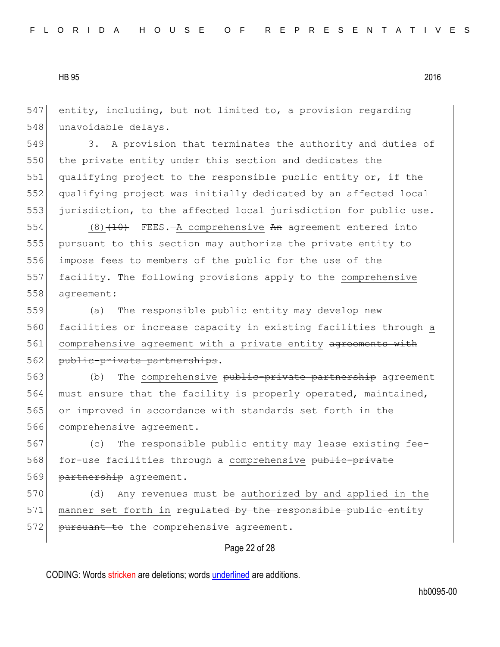547 entity, including, but not limited to, a provision regarding 548 unavoidable delays.

549 3. A provision that terminates the authority and duties of 550 the private entity under this section and dedicates the 551 qualifying project to the responsible public entity or, if the 552 qualifying project was initially dedicated by an affected local 553 jurisdiction, to the affected local jurisdiction for public use.

554 (8) $(10)$  FEES.—A comprehensive An agreement entered into pursuant to this section may authorize the private entity to impose fees to members of the public for the use of the facility. The following provisions apply to the comprehensive agreement:

559 (a) The responsible public entity may develop new 560 facilities or increase capacity in existing facilities through a 561 comprehensive agreement with a private entity agreements with 562 public-private partnerships.

563 (b) The comprehensive public-private partnership agreement 564 must ensure that the facility is properly operated, maintained, 565 or improved in accordance with standards set forth in the 566 comprehensive agreement.

567 (c) The responsible public entity may lease existing fee-568 for-use facilities through a comprehensive public-private 569 partnership agreement.

570 (d) Any revenues must be authorized by and applied in the 571 manner set forth in regulated by the responsible public entity 572 <del>pursuant to</del> the comprehensive agreement.

# Page 22 of 28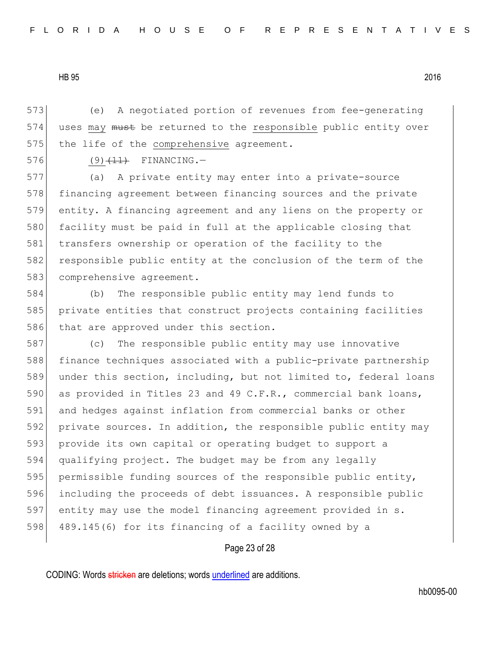573 (e) A negotiated portion of revenues from fee-generating 574 uses may must be returned to the responsible public entity over 575 the life of the comprehensive agreement.

576 (9)  $(11)$  FINANCING.

577 (a) A private entity may enter into a private-source 578 financing agreement between financing sources and the private 579 entity. A financing agreement and any liens on the property or 580 facility must be paid in full at the applicable closing that 581 transfers ownership or operation of the facility to the 582 responsible public entity at the conclusion of the term of the 583 comprehensive agreement.

584 (b) The responsible public entity may lend funds to 585 private entities that construct projects containing facilities 586 that are approved under this section.

587 (c) The responsible public entity may use innovative 588 finance techniques associated with a public-private partnership 589 under this section, including, but not limited to, federal loans 590 as provided in Titles 23 and 49 C.F.R., commercial bank loans, 591 and hedges against inflation from commercial banks or other 592 private sources. In addition, the responsible public entity may 593 provide its own capital or operating budget to support a 594 qualifying project. The budget may be from any legally 595 permissible funding sources of the responsible public entity, 596 including the proceeds of debt issuances. A responsible public 597 entity may use the model financing agreement provided in s. 598 489.145(6) for its financing of a facility owned by a

Page 23 of 28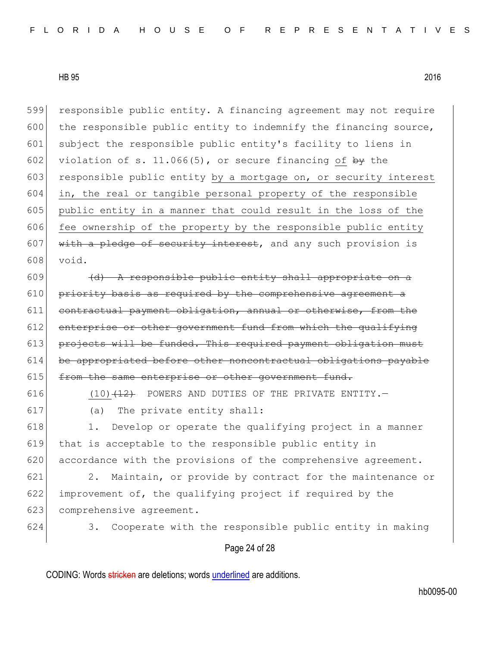599 responsible public entity. A financing agreement may not require  $600$  the responsible public entity to indemnify the financing source, 601 subject the responsible public entity's facility to liens in 602 violation of s. 11.066(5), or secure financing of  $\frac{b}{b}$  the 603 responsible public entity by a mortgage on, or security interest  $604$  in, the real or tangible personal property of the responsible 605 public entity in a manner that could result in the loss of the  $606$  fee ownership of the property by the responsible public entity 607 with a pledge of security interest, and any such provision is 608 void.

 $609$  (d) A responsible public entity shall appropriate on a  $610$  priority basis as required by the comprehensive agreement a 611 contractual payment obligation, annual or otherwise, from the 612 enterprise or other government fund from which the qualifying 613 projects will be funded. This required payment obligation must 614 be appropriated before other noncontractual obligations payable 615 from the same enterprise or other government fund.

616  $(10)$   $(12)$  POWERS AND DUTIES OF THE PRIVATE ENTITY. 617 (a) The private entity shall:

618 1. Develop or operate the qualifying project in a manner 619 that is acceptable to the responsible public entity in 620 accordance with the provisions of the comprehensive agreement.

621 2. Maintain, or provide by contract for the maintenance or 622 improvement of, the qualifying project if required by the 623 comprehensive agreement.

624 3. Cooperate with the responsible public entity in making

## Page 24 of 28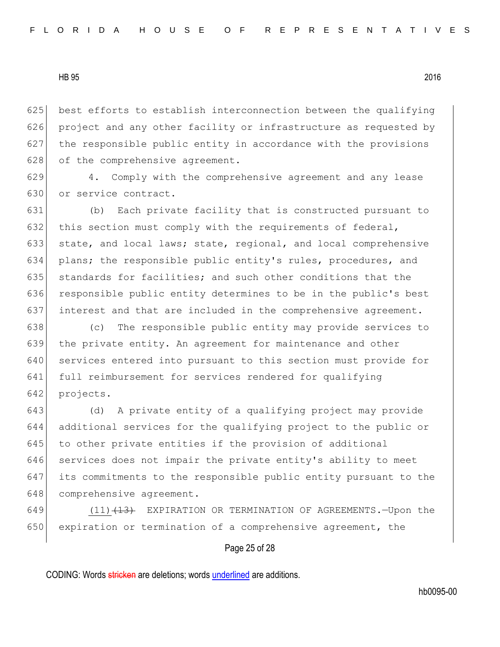625 best efforts to establish interconnection between the qualifying 626 project and any other facility or infrastructure as requested by  $627$  the responsible public entity in accordance with the provisions 628 of the comprehensive agreement.

629 4. Comply with the comprehensive agreement and any lease 630 or service contract.

631 (b) Each private facility that is constructed pursuant to 632 this section must comply with the requirements of federal, 633 state, and local laws; state, regional, and local comprehensive 634 plans; the responsible public entity's rules, procedures, and 635 standards for facilities; and such other conditions that the 636 responsible public entity determines to be in the public's best 637 interest and that are included in the comprehensive agreement.

 (c) The responsible public entity may provide services to the private entity. An agreement for maintenance and other 640 services entered into pursuant to this section must provide for full reimbursement for services rendered for qualifying projects.

643 (d) A private entity of a qualifying project may provide 644 additional services for the qualifying project to the public or 645 to other private entities if the provision of additional 646 services does not impair the private entity's ability to meet 647 its commitments to the responsible public entity pursuant to the 648 comprehensive agreement.

649 (11)<del>(13)</del> EXPIRATION OR TERMINATION OF AGREEMENTS.—Upon the 650 expiration or termination of a comprehensive agreement, the

# Page 25 of 28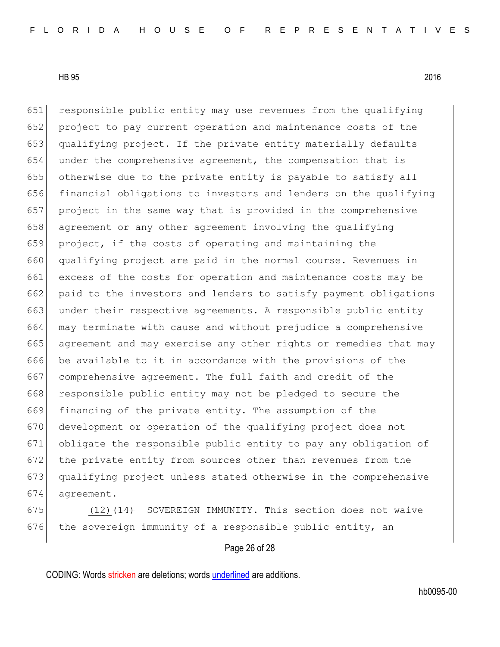651 responsible public entity may use revenues from the qualifying project to pay current operation and maintenance costs of the qualifying project. If the private entity materially defaults under the comprehensive agreement, the compensation that is otherwise due to the private entity is payable to satisfy all financial obligations to investors and lenders on the qualifying project in the same way that is provided in the comprehensive 658 agreement or any other agreement involving the qualifying project, if the costs of operating and maintaining the qualifying project are paid in the normal course. Revenues in excess of the costs for operation and maintenance costs may be paid to the investors and lenders to satisfy payment obligations 663 under their respective agreements. A responsible public entity may terminate with cause and without prejudice a comprehensive agreement and may exercise any other rights or remedies that may be available to it in accordance with the provisions of the 667 comprehensive agreement. The full faith and credit of the 668 responsible public entity may not be pledged to secure the financing of the private entity. The assumption of the development or operation of the qualifying project does not obligate the responsible public entity to pay any obligation of the private entity from sources other than revenues from the qualifying project unless stated otherwise in the comprehensive agreement.

675  $(12)$   $(14)$  SOVEREIGN IMMUNITY. This section does not waive 676 the sovereign immunity of a responsible public entity, an

# Page 26 of 28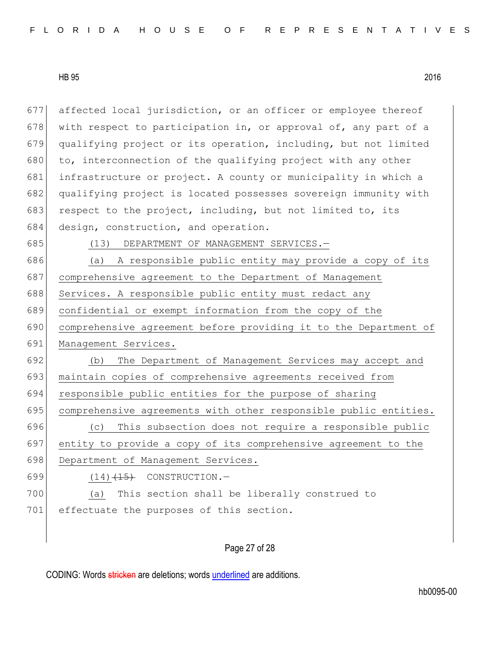677 affected local jurisdiction, or an officer or employee thereof 678 with respect to participation in, or approval of, any part of a 679 qualifying project or its operation, including, but not limited 680 to, interconnection of the qualifying project with any other 681 infrastructure or project. A county or municipality in which a 682 qualifying project is located possesses sovereign immunity with 683 respect to the project, including, but not limited to, its 684 design, construction, and operation. 685 (13) DEPARTMENT OF MANAGEMENT SERVICES. 686 (a) A responsible public entity may provide a copy of its 687 comprehensive agreement to the Department of Management 688 Services. A responsible public entity must redact any 689 confidential or exempt information from the copy of the 690 comprehensive agreement before providing it to the Department of 691 Management Services. 692 (b) The Department of Management Services may accept and 693 maintain copies of comprehensive agreements received from 694 responsible public entities for the purpose of sharing 695 comprehensive agreements with other responsible public entities. 696 (c) This subsection does not require a responsible public 697 entity to provide a copy of its comprehensive agreement to the 698 Department of Management Services. 699  $(14)$   $(15)$  CONSTRUCTION. 700 (a) This section shall be liberally construed to 701 effectuate the purposes of this section.

# Page 27 of 28